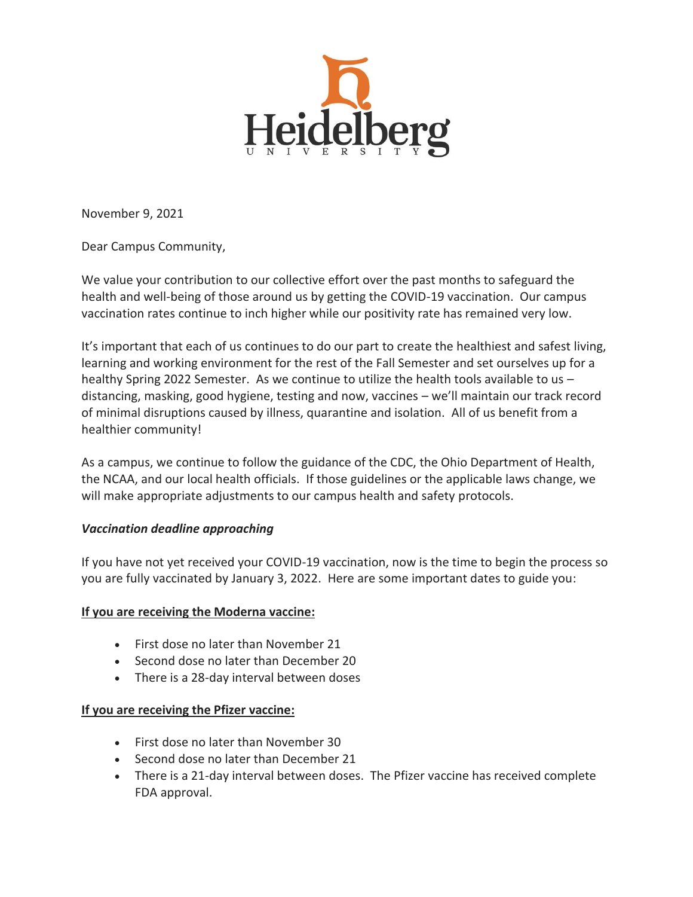

November 9, 2021

Dear Campus Community,

We value your contribution to our collective effort over the past months to safeguard the health and well-being of those around us by getting the COVID-19 vaccination. Our campus vaccination rates continue to inch higher while our positivity rate has remained very low.

It's important that each of us continues to do our part to create the healthiest and safest living, learning and working environment for the rest of the Fall Semester and set ourselves up for a healthy Spring 2022 Semester. As we continue to utilize the health tools available to us – distancing, masking, good hygiene, testing and now, vaccines – we'll maintain our track record of minimal disruptions caused by illness, quarantine and isolation. All of us benefit from a healthier community!

As a campus, we continue to follow the guidance of the CDC, the Ohio Department of Health, the NCAA, and our local health officials. If those guidelines or the applicable laws change, we will make appropriate adjustments to our campus health and safety protocols.

#### *Vaccination deadline approaching*

If you have not yet received your COVID-19 vaccination, now is the time to begin the process so you are fully vaccinated by January 3, 2022. Here are some important dates to guide you:

# **If you are receiving the Moderna vaccine:**

- First dose no later than November 21
- Second dose no later than December 20
- There is a 28-day interval between doses

# **If you are receiving the Pfizer vaccine:**

- First dose no later than November 30
- Second dose no later than December 21
- There is a 21-day interval between doses. The Pfizer vaccine has received complete FDA approval.